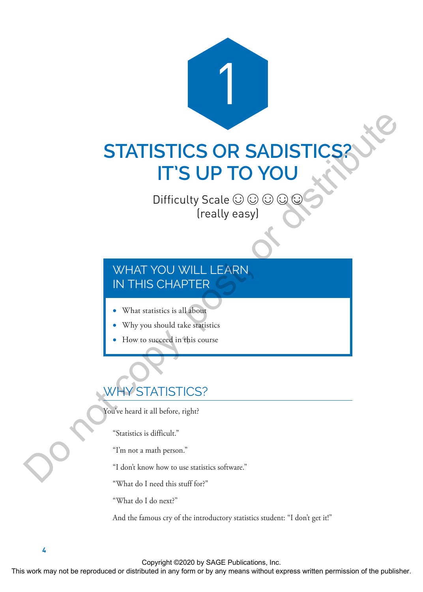

"What do I need this stuff for?"

"What do I do next?"

And the famous cry of the introductory statistics student: "I don't get it!"

Copyright ©2020 by SAGE Publications, Inc.<br>This work may not be reproduced or distributed in any form or by any means without express written permission of the publisher.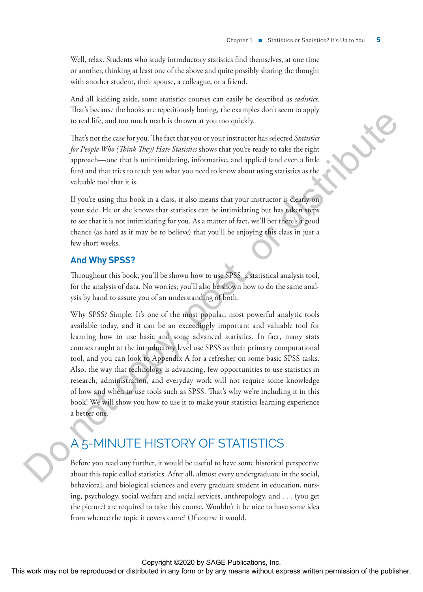Well, relax. Students who study introductory statistics find themselves, at one time or another, thinking at least one of the above and quite possibly sharing the thought with another student, their spouse, a colleague, or a friend.

And all kidding aside, some statistics courses can easily be described as *sadistics*. That's because the books are repetitiously boring, the examples don't seem to apply to real life, and too much math is thrown at you too quickly.

That's not the case for you. The fact that you or your instructor has selected *Statistics for People Who (Think They) Hate Statistics* shows that you're ready to take the right approach—one that is unintimidating, informative, and applied (and even a little fun) and that tries to teach you what you need to know about using statistics as the valuable tool that it is.

If you're using this book in a class, it also means that your instructor is clearly on your side. He or she knows that statistics can be intimidating but has taken steps to see that it is not intimidating for you. As a matter of fact, we'll bet there's a good chance (as hard as it may be to believe) that you'll be enjoying this class in just a few short weeks.

#### **And Why SPSS?**

Throughout this book, you'll be shown how to use SPSS, a statistical analysis tool, for the analysis of data. No worries; you'll also be shown how to do the same analysis by hand to assure you of an understanding of both.

Why SPSS? Simple. It's one of the most popular, most powerful analytic tools available today, and it can be an exceedingly important and valuable tool for learning how to use basic and some advanced statistics. In fact, many stats courses taught at the introductory level use SPSS as their primary computational tool, and you can look to Appendix A for a refresher on some basic SPSS tasks. Also, the way that technology is advancing, few opportunities to use statistics in research, administration, and everyday work will not require some knowledge of how and when to use tools such as SPSS. That's why we're including it in this book! We will show you how to use it to make your statistics learning experience a better one. The results of the results of the results of the results of the results of the results of the reproduced in any form or the results of the results of the results of the results of the results of the results of the results

## 5-MINUTE HISTORY OF STATISTICS

Before you read any further, it would be useful to have some historical perspective about this topic called statistics. After all, almost every undergraduate in the social, behavioral, and biological sciences and every graduate student in education, nursing, psychology, social welfare and social services, anthropology, and . . . (you get the picture) are required to take this course. Wouldn't it be nice to have some idea from whence the topic it covers came? Of course it would.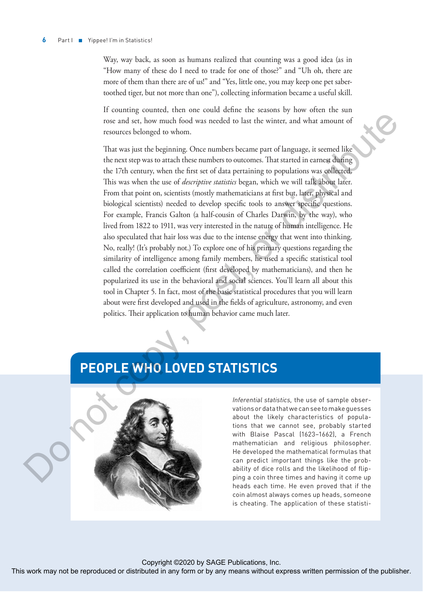Way, way back, as soon as humans realized that counting was a good idea (as in "How many of these do I need to trade for one of those?" and "Uh oh, there are more of them than there are of us!" and "Yes, little one, you may keep one pet sabertoothed tiger, but not more than one"), collecting information became a useful skill.

If counting counted, then one could define the seasons by how often the sun rose and set, how much food was needed to last the winter, and what amount of resources belonged to whom.

That was just the beginning. Once numbers became part of language, it seemed like the next step was to attach these numbers to outcomes. That started in earnest during the 17th century, when the first set of data pertaining to populations was collected. This was when the use of *descriptive statistics* began, which we will talk about later. From that point on, scientists (mostly mathematicians at first but, later, physical and biological scientists) needed to develop specific tools to answer specific questions. For example, Francis Galton (a half-cousin of Charles Darwin, by the way), who lived from 1822 to 1911, was very interested in the nature of human intelligence. He also speculated that hair loss was due to the intense energy that went into thinking. No, really! (It's probably not.) To explore one of his primary questions regarding the similarity of intelligence among family members, he used a specific statistical tool called the correlation coefficient (first developed by mathematicians), and then he popularized its use in the behavioral and social sciences. You'll learn all about this tool in Chapter 5. In fact, most of the basic statistical procedures that you will learn about were first developed and used in the fields of agriculture, astronomy, and even politics. Their application to human behavior came much later. The results were the best may not be reproduced to the results of the results of the reproduced or distributed in any form or by any means when  $\alpha$  and  $\alpha$  any  $\alpha$  and  $\alpha$  and  $\alpha$  and  $\alpha$  and  $\alpha$  and  $\alpha$  and  $\alpha$ 

## **PEOPLE WHO LOVED STATISTICS**



*Inferential statistics,* the use of sample observations or data that we can see to make guesses about the likely characteristics of populations that we cannot see, probably started with Blaise Pascal (1623–1662), a French mathematician and religious philosopher. He developed the mathematical formulas that can predict important things like the probability of dice rolls and the likelihood of flipping a coin three times and having it come up heads each time. He even proved that if the coin almost always comes up heads, someone is cheating. The application of these statisti-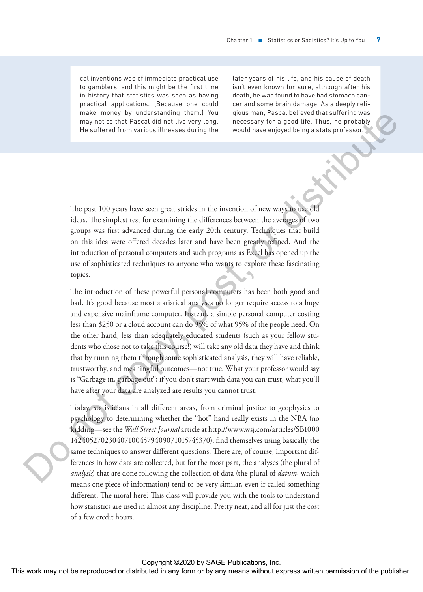cal inventions was of immediate practical use to gamblers, and this might be the first time in history that statistics was seen as having practical applications. (Because one could make money by understanding them.) You may notice that Pascal did not live very long. He suffered from various illnesses during the

later years of his life, and his cause of death isn't even known for sure, although after his death, he was found to have had stomach cancer and some brain damage. As a deeply religious man, Pascal believed that suffering was necessary for a good life. Thus, he probably would have enjoyed being a stats professor.

The past 100 years have seen great strides in the invention of new ways to use old ideas. The simplest test for examining the differences between the averages of two groups was first advanced during the early 20th century. Techniques that build on this idea were offered decades later and have been greatly refined. And the introduction of personal computers and such programs as Excel has opened up the use of sophisticated techniques to anyone who wants to explore these fascinating topics.

The introduction of these powerful personal computers has been both good and bad. It's good because most statistical analyses no longer require access to a huge and expensive mainframe computer. Instead, a simple personal computer costing less than \$250 or a cloud account can do 95% of what 95% of the people need. On the other hand, less than adequately educated students (such as your fellow students who chose not to take this course!) will take any old data they have and think that by running them through some sophisticated analysis, they will have reliable, trustworthy, and meaningful outcomes—not true. What your professor would say is "Garbage in, garbage out"; if you don't start with data you can trust, what you'll have after your data are analyzed are results you cannot trust.

Today, statisticians in all different areas, from criminal justice to geophysics to psychology to determining whether the "hot" hand really exists in the NBA (no kidding—see the *Wall Street Journal* article at http://www.wsj.com/articles/SB1000 1424052702304071004579409071015745370), find themselves using basically the same techniques to answer different questions. There are, of course, important differences in how data are collected, but for the most part, the analyses (the plural of *analysis*) that are done following the collection of data (the plural of *datum,* which means one piece of information) tend to be very similar, even if called something different. The moral here? This class will provide you with the tools to understand how statistics are used in almost any discipline. Pretty neat, and all for just the cost of a few credit hours. The proof of the reproduced or distributed or distributed or distributed in any form or by any means with the reproduced or the system or by any means with the publisher of the publisher. The system of the publishers were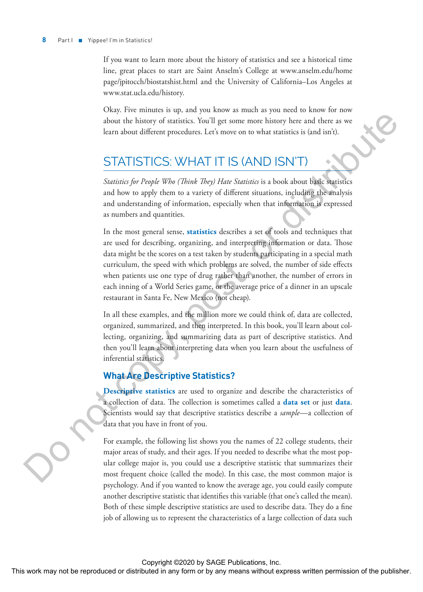If you want to learn more about the history of statistics and see a historical time line, great places to start are Saint Anselm's College at www.anselm.edu/home page/jpitocch/biostatshist.html and the University of California–Los Angeles at www.stat.ucla.edu/history.

Okay. Five minutes is up, and you know as much as you need to know for now about the history of statistics. You'll get some more history here and there as we learn about different procedures. Let's move on to what statistics is (and isn't).

## STATISTICS: WHAT IT IS (AND ISN'T)

*Statistics for People Who (Think They) Hate Statistics* is a book about basic statistics and how to apply them to a variety of different situations, including the analysis and understanding of information, especially when that information is expressed as numbers and quantities.

In the most general sense, **statistics** describes a set of tools and techniques that are used for describing, organizing, and interpreting information or data. Those data might be the scores on a test taken by students participating in a special math curriculum, the speed with which problems are solved, the number of side effects when patients use one type of drug rather than another, the number of errors in each inning of a World Series game, or the average price of a dinner in an upscale restaurant in Santa Fe, New Mexico (not cheap).

In all these examples, and the million more we could think of, data are collected, organized, summarized, and then interpreted. In this book, you'll learn about collecting, organizing, and summarizing data as part of descriptive statistics. And then you'll learn about interpreting data when you learn about the usefulness of inferential statistics.

#### **What Are Descriptive Statistics?**

**Descriptive statistics** are used to organize and describe the characteristics of a collection of data. The collection is sometimes called a **data set** or just **data**. Scientists would say that descriptive statistics describe a *sample*—a collection of data that you have in front of you.

For example, the following list shows you the names of 22 college students, their major areas of study, and their ages. If you needed to describe what the most popular college major is, you could use a descriptive statistic that summarizes their most frequent choice (called the mode). In this case, the most common major is psychology. And if you wanted to know the average age, you could easily compute another descriptive statistic that identifies this variable (that one's called the mean). Both of these simple descriptive statistics are used to describe data. They do a fine job of allowing us to represent the characteristics of a large collection of data such The results of the reproduced or distributed in any form or distributed in any form or distributed in any form or distributed in a short of the results of the results of the results of the results of the results of the pu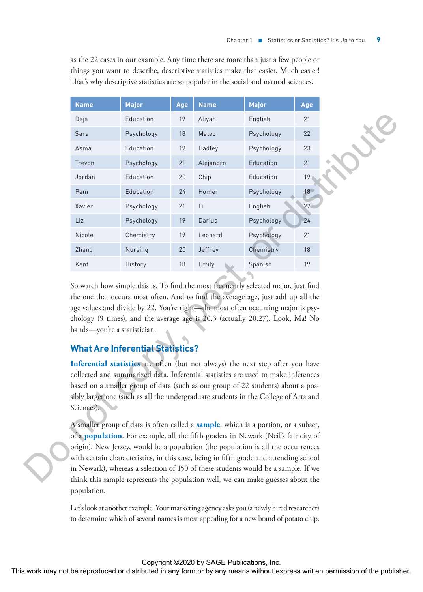| Deja       | <b>Major</b> | Age | <b>Name</b> | <b>Major</b>                                                                                                                                                                                                                                                                                                                                                                                                                                        | Age             |
|------------|--------------|-----|-------------|-----------------------------------------------------------------------------------------------------------------------------------------------------------------------------------------------------------------------------------------------------------------------------------------------------------------------------------------------------------------------------------------------------------------------------------------------------|-----------------|
|            | Education    | 19  | Aliyah      | English                                                                                                                                                                                                                                                                                                                                                                                                                                             | 21              |
| Sara       | Psychology   | 18  | Mateo       | Psychology                                                                                                                                                                                                                                                                                                                                                                                                                                          | 22              |
| Asma       | Education    | 19  | Hadley      | Psychology                                                                                                                                                                                                                                                                                                                                                                                                                                          | 23              |
| Trevon     | Psychology   | 21  | Alejandro   | Education                                                                                                                                                                                                                                                                                                                                                                                                                                           | 21              |
| Jordan     | Education    | 20  | Chip        | Education                                                                                                                                                                                                                                                                                                                                                                                                                                           | 19              |
| Pam        | Education    | 24  | Homer       | Psychology                                                                                                                                                                                                                                                                                                                                                                                                                                          | 18              |
| Xavier     | Psychology   | 21  | Li          | English                                                                                                                                                                                                                                                                                                                                                                                                                                             | 22 <sup>°</sup> |
| Liz        | Psychology   | 19  | Darius      | Psychology                                                                                                                                                                                                                                                                                                                                                                                                                                          | 24              |
| Nicole     | Chemistry    | 19  | Leonard     | Psychology                                                                                                                                                                                                                                                                                                                                                                                                                                          | 21              |
| Zhang      | Nursing      | 20  | Jeffrey     | Chemistry                                                                                                                                                                                                                                                                                                                                                                                                                                           | $18\,$          |
| Kent       | History      | 18  | Emily       | Spanish                                                                                                                                                                                                                                                                                                                                                                                                                                             | 19              |
|            |              |     |             | based on a smaller group of data (such as our group of 22 students) about a pos-<br>sibly larger one (such as all the undergraduate students in the College of Arts and                                                                                                                                                                                                                                                                             |                 |
| Sciences). |              |     |             | A smaller group of data is often called a <b>sample</b> , which is a portion, or a subset,<br>of a population. For example, all the fifth graders in Newark (Neil's fair city of<br>origin), New Jersey, would be a population (the population is all the occurrences<br>with certain characteristics, in this case, being in fifth grade and attending school<br>in Newark), whereas a selection of 150 of these students would be a sample. If we |                 |

as the 22 cases in our example. Any time there are more than just a few people or things you want to describe, descriptive statistics make that easier. Much easier! That's why descriptive statistics are so popular in the social and natural sciences.

### **What Are Inferential Statistics?**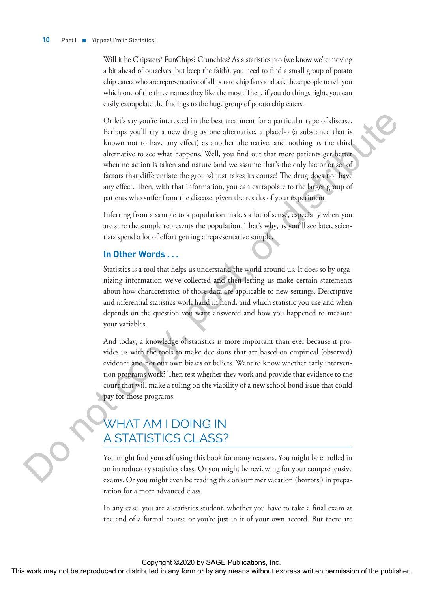Will it be Chipsters? FunChips? Crunchies? As a statistics pro (we know we're moving a bit ahead of ourselves, but keep the faith), you need to find a small group of potato chip eaters who are representative of all potato chip fans and ask these people to tell you which one of the three names they like the most. Then, if you do things right, you can easily extrapolate the findings to the huge group of potato chip eaters.

Or let's say you're interested in the best treatment for a particular type of disease. Perhaps you'll try a new drug as one alternative, a placebo (a substance that is known not to have any effect) as another alternative, and nothing as the third alternative to see what happens. Well, you find out that more patients get better when no action is taken and nature (and we assume that's the only factor or set of factors that differentiate the groups) just takes its course! The drug does not have any effect. Then, with that information, you can extrapolate to the larger group of patients who suffer from the disease, given the results of your experiment. On this way not interested or distributed or particle trape of these interests and whether permission or or these represents are proportional temperature and with the state of the form of the publisher. Hence, the state o

Inferring from a sample to a population makes a lot of sense, especially when you are sure the sample represents the population. That's why, as you'll see later, scientists spend a lot of effort getting a representative sample.

#### **In Other Words . . .**

Statistics is a tool that helps us understand the world around us. It does so by organizing information we've collected and then letting us make certain statements about how characteristics of those data are applicable to new settings. Descriptive and inferential statistics work hand in hand, and which statistic you use and when depends on the question you want answered and how you happened to measure your variables.

And today, a knowledge of statistics is more important than ever because it provides us with the tools to make decisions that are based on empirical (observed) evidence and not our own biases or beliefs. Want to know whether early intervention programs work? Then test whether they work and provide that evidence to the court that will make a ruling on the viability of a new school bond issue that could pay for those programs.

# WHAT AM I DOING IN A STATISTICS CLASS?

You might find yourself using this book for many reasons. You might be enrolled in an introductory statistics class. Or you might be reviewing for your comprehensive exams. Or you might even be reading this on summer vacation (horrors!) in preparation for a more advanced class.

In any case, you are a statistics student, whether you have to take a final exam at the end of a formal course or you're just in it of your own accord. But there are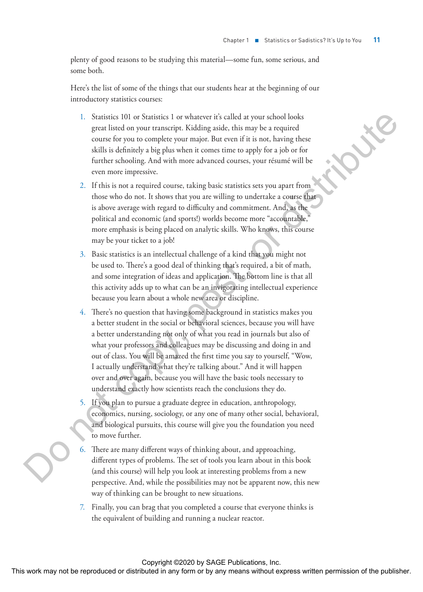plenty of good reasons to be studying this material—some fun, some serious, and some both.

Here's the list of some of the things that our students hear at the beginning of our introductory statistics courses:

- 1. Statistics 101 or Statistics 1 or whatever it's called at your school looks great listed on your transcript. Kidding aside, this may be a required course for you to complete your major. But even if it is not, having these skills is definitely a big plus when it comes time to apply for a job or for further schooling. And with more advanced courses, your résumé will be even more impressive.
- 2. If this is not a required course, taking basic statistics sets you apart from those who do not. It shows that you are willing to undertake a course that is above average with regard to difficulty and commitment. And, as the political and economic (and sports!) worlds become more "accountable," more emphasis is being placed on analytic skills. Who knows, this course may be your ticket to a job!
- 3. Basic statistics is an intellectual challenge of a kind that you might not be used to. There's a good deal of thinking that's required, a bit of math, and some integration of ideas and application. The bottom line is that all this activity adds up to what can be an invigorating intellectual experience because you learn about a whole new area or discipline.
- 4. There's no question that having some background in statistics makes you a better student in the social or behavioral sciences, because you will have a better understanding not only of what you read in journals but also of what your professors and colleagues may be discussing and doing in and out of class. You will be amazed the first time you say to yourself, "Wow, I actually understand what they're talking about." And it will happen over and over again, because you will have the basic tools necessary to understand exactly how scientists reach the conclusions they do. I. Small of the system consults, the collective particle is a post-action of the bullion or distributed in any form or bullion in any means the system of the first in any means the reproduced or the system of the publishe
	- 5. If you plan to pursue a graduate degree in education, anthropology, economics, nursing, sociology, or any one of many other social, behavioral, and biological pursuits, this course will give you the foundation you need to move further.
	- There are many different ways of thinking about, and approaching, different types of problems. The set of tools you learn about in this book (and this course) will help you look at interesting problems from a new perspective. And, while the possibilities may not be apparent now, this new way of thinking can be brought to new situations.
	- 7. Finally, you can brag that you completed a course that everyone thinks is the equivalent of building and running a nuclear reactor.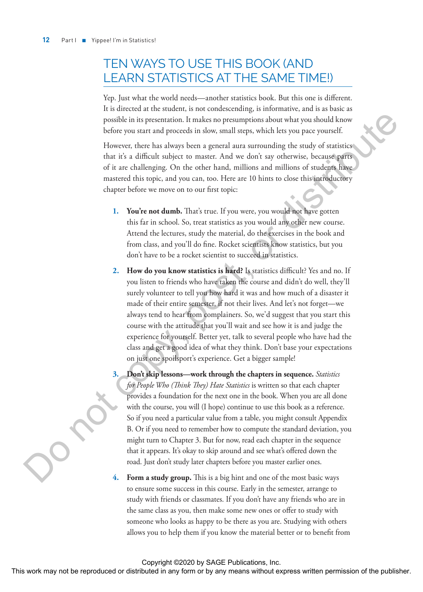# TEN WAYS TO USE THIS BOOK (AND LEARN STATISTICS AT THE SAME TIME!)

Yep. Just what the world needs—another statistics book. But this one is different. It is directed at the student, is not condescending, is informative, and is as basic as possible in its presentation. It makes no presumptions about what you should know before you start and proceeds in slow, small steps, which lets you pace yourself.

However, there has always been a general aura surrounding the study of statistics that it's a difficult subject to master. And we don't say otherwise, because parts of it are challenging. On the other hand, millions and millions of students have mastered this topic, and you can, too. Here are 10 hints to close this introductory chapter before we move on to our first topic:

- **1. You're not dumb.** That's true. If you were, you would not have gotten this far in school. So, treat statistics as you would any other new course. Attend the lectures, study the material, do the exercises in the book and from class, and you'll do fine. Rocket scientists know statistics, but you don't have to be a rocket scientist to succeed in statistics.
- **2. How do you know statistics is hard?** Is statistics difficult? Yes and no. If you listen to friends who have taken the course and didn't do well, they'll surely volunteer to tell you how hard it was and how much of a disaster it made of their entire semester, if not their lives. And let's not forget—we always tend to hear from complainers. So, we'd suggest that you start this course with the attitude that you'll wait and see how it is and judge the experience for yourself. Better yet, talk to several people who have had the class and get a good idea of what they think. Don't base your expectations on just one spoilsport's experience. Get a bigger sample! possible is a question and in any conservation and y coupled areas with the representation or the reproduced in any form or the publisheres a general state permission of the publisher. The express were represented in a su
	- **3. Don't skip lessons—work through the chapters in sequence.** *Statistics for People Who (Think They) Hate Statistics* is written so that each chapter provides a foundation for the next one in the book. When you are all done with the course, you will (I hope) continue to use this book as a reference. So if you need a particular value from a table, you might consult Appendix B. Or if you need to remember how to compute the standard deviation, you might turn to Chapter 3. But for now, read each chapter in the sequence that it appears. It's okay to skip around and see what's offered down the road. Just don't study later chapters before you master earlier ones.
	- **4. Form a study group.** This is a big hint and one of the most basic ways to ensure some success in this course. Early in the semester, arrange to study with friends or classmates. If you don't have any friends who are in the same class as you, then make some new ones or offer to study with someone who looks as happy to be there as you are. Studying with others allows you to help them if you know the material better or to benefit from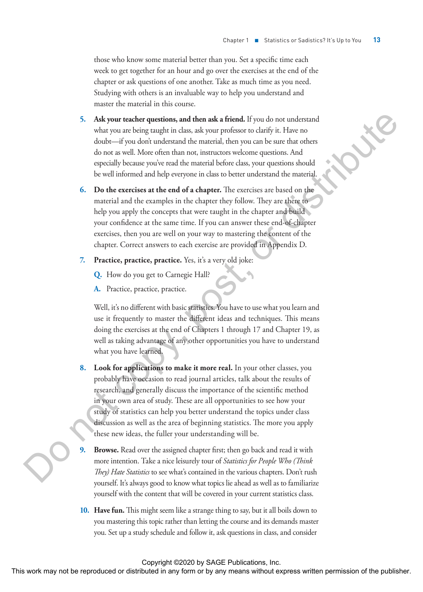those who know some material better than you. Set a specific time each week to get together for an hour and go over the exercises at the end of the chapter or ask questions of one another. Take as much time as you need. Studying with others is an invaluable way to help you understand and master the material in this course.

- **5. Ask your teacher questions, and then ask a friend.** If you do not understand what you are being taught in class, ask your professor to clarify it. Have no doubt—if you don't understand the material, then you can be sure that others do not as well. More often than not, instructors welcome questions. And especially because you've read the material before class, your questions should be well informed and help everyone in class to better understand the material.
- **6. Do the exercises at the end of a chapter.** The exercises are based on the material and the examples in the chapter they follow. They are there to help you apply the concepts that were taught in the chapter and build your confidence at the same time. If you can answer these end-of-chapter exercises, then you are well on your way to mastering the content of the chapter. Correct answers to each exercise are provided in Appendix D.
- **7. Practice, practice, practice.** Yes, it's a very old joke:
	- **Q.** How do you get to Carnegie Hall?
	- **A.** Practice, practice, practice.

Well, it's no different with basic statistics. You have to use what you learn and use it frequently to master the different ideas and techniques. This means doing the exercises at the end of Chapters 1 through 17 and Chapter 19, as well as taking advantage of any other opportunities you have to understand what you have learned.

- **8. Look for applications to make it more real.** In your other classes, you probably have occasion to read journal articles, talk about the results of research, and generally discuss the importance of the scientific method in your own area of study. These are all opportunities to see how your study of statistics can help you better understand the topics under class discussion as well as the area of beginning statistics. The more you apply these new ideas, the fuller your understanding will be. S. A method or the representation of the relation of the relation of the representation of the relationship of the relationship of the control of the copy and the publisher. The control of the publisher of the relationshi
	- **Browse.** Read over the assigned chapter first; then go back and read it with more intention. Take a nice leisurely tour of *Statistics for People Who (Think They) Hate Statistics* to see what's contained in the various chapters. Don't rush yourself. It's always good to know what topics lie ahead as well as to familiarize yourself with the content that will be covered in your current statistics class.
	- **10. Have fun.** This might seem like a strange thing to say, but it all boils down to you mastering this topic rather than letting the course and its demands master you. Set up a study schedule and follow it, ask questions in class, and consider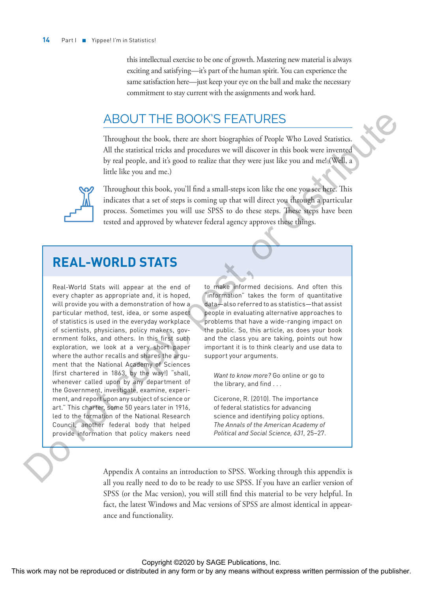this intellectual exercise to be one of growth. Mastering new material is always exciting and satisfying—it's part of the human spirit. You can experience the same satisfaction here—just keep your eye on the ball and make the necessary commitment to stay current with the assignments and work hard.

## ABOUT THE BOOK'S FEATURES

Throughout the book, there are short biographies of People Who Loved Statistics. All the statistical tricks and procedures we will discover in this book were invented by real people, and it's good to realize that they were just like you and me! (Well, a little like you and me.)



Throughout this book, you'll find a small-steps icon like the one you see here. This indicates that a set of steps is coming up that will direct you through a particular process. Sometimes you will use SPSS to do these steps. These steps have been tested and approved by whatever federal agency approves these things.

# **REAL-WORLD STATS**

Real-World Stats will appear at the end of every chapter as appropriate and, it is hoped, will provide you with a demonstration of how a particular method, test, idea, or some aspect of statistics is used in the everyday workplace of scientists, physicians, policy makers, government folks, and others. In this first such exploration, we look at a very short paper where the author recalls and shares the argument that the National Academy of Sciences (first chartered in 1863, by the way!) "shall, whenever called upon by any department of the Government, investigate, examine, experiment, and report upon any subject of science or art." This charter, some 50 years later in 1916, led to the formation of the National Research Council, another federal body that helped provide information that policy makers need  $\overrightarrow{ADOUT}$  THE BOOK'S FEATURES<br>
Thoughout also book lake associate solution any form or buyer was boron descributed in any form or buyer and the publisher.<br>
All the statistical trial good or collector the publisher. We ar

to make informed decisions. And often this "information" takes the form of quantitative data—also referred to as statistics—that assist people in evaluating alternative approaches to problems that have a wide-ranging impact on the public. So, this article, as does your book and the class you are taking, points out how important it is to think clearly and use data to support your arguments.

*Want to know more?* Go online or go to the library, and find . . .

Cicerone, R. (2010). The importance of federal statistics for advancing science and identifying policy options. *The Annals of the American Academy of Political and Social Science, 631,* 25–27.

Appendix A contains an introduction to SPSS. Working through this appendix is all you really need to do to be ready to use SPSS. If you have an earlier version of SPSS (or the Mac version), you will still find this material to be very helpful. In fact, the latest Windows and Mac versions of SPSS are almost identical in appearance and functionality.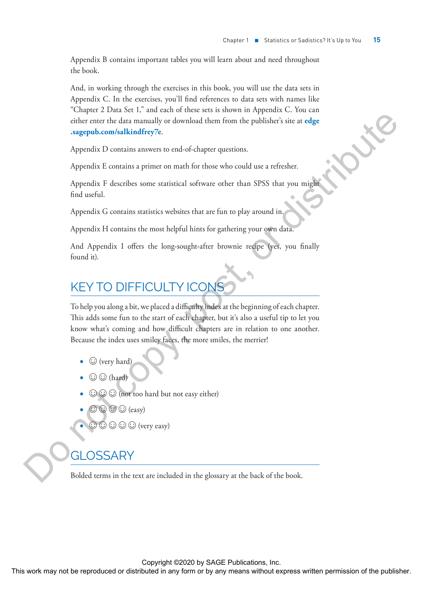Appendix B contains important tables you will learn about and need throughout the book.

And, in working through the exercises in this book, you will use the data sets in Appendix C. In the exercises, you'll find references to data sets with names like "Chapter 2 Data Set 1," and each of these sets is shown in Appendix C. You can either enter the data manually or download them from the publisher's site at **edge .sagepub.com/salkindfrey7e**.

Appendix D contains answers to end-of-chapter questions.

Appendix E contains a primer on math for those who could use a refresher.

Appendix F describes some statistical software other than SPSS that you might find useful.

Appendix G contains statistics websites that are fun to play around in.

Appendix H contains the most helpful hints for gathering your own data.

And Appendix I offers the long-sought-after brownie recipe (yes, you finally found it).

# **KEY TO DIFFICULTY ICON**

To help you along a bit, we placed a difficulty index at the beginning of each chapter. This adds some fun to the start of each chapter, but it's also a useful tip to let you know what's coming and how difficult chapters are in relation to one another. Because the index uses smiley faces, the more smiles, the merrier! either enter the risk may not be reproduced or distributed in any form or distributed in any means when the reproduced or distributed in any means when the risk may not be reproduced to the publisher. The reproduced in an

- $\bullet$   $\odot$  (very hard)
- $\bullet$   $\odot$   $\odot$  (hard)
- $\bullet$   $\odot$   $\odot$   $\odot$  (not too hard but not easy either)
- $\odot$   $\odot$   $\odot$  (easy)
- $\odot$   $\odot$   $\odot$   $\odot$   $\odot$  (very easy)

## **OSSARY**

Bolded terms in the text are included in the glossary at the back of the book.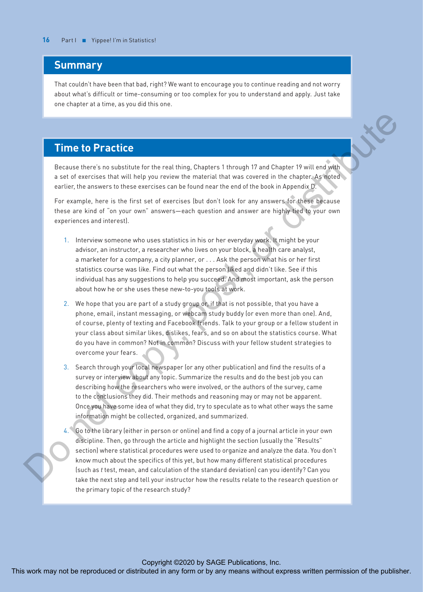### **Summary**

That couldn't have been that bad, right? We want to encourage you to continue reading and not worry about what's difficult or time-consuming or too complex for you to understand and apply. Just take one chapter at a time, as you did this one.

## **Time to Practice**

Because there's no substitute for the real thing, Chapters 1 through 17 and Chapter 19 will end with a set of exercises that will help you review the material that was covered in the chapter. As noted earlier, the answers to these exercises can be found near the end of the book in Appendix D.

For example, here is the first set of exercises (but don't look for any answers for these because these are kind of "on your own" answers—each question and answer are highly tied to your own experiences and interest).

- 1. Interview someone who uses statistics in his or her everyday work. It might be your advisor, an instructor, a researcher who lives on your block, a health care analyst, a marketer for a company, a city planner, or . . . Ask the person what his or her first statistics course was like. Find out what the person liked and didn't like. See if this individual has any suggestions to help you succeed. And most important, ask the person about how he or she uses these new-to-you tools at work.
- 2. We hope that you are part of a study group or, if that is not possible, that you have a phone, email, instant messaging, or webcam study buddy (or even more than one). And, of course, plenty of texting and Facebook friends. Talk to your group or a fellow student in your class about similar likes, dislikes, fears, and so on about the statistics course. What do you have in common? Not in common? Discuss with your fellow student strategies to overcome your fears.
- 3. Search through your local newspaper (or any other publication) and find the results of a survey or interview about any topic. Summarize the results and do the best job you can describing how the researchers who were involved, or the authors of the survey, came to the conclusions they did. Their methods and reasoning may or may not be apparent. Once you have some idea of what they did, try to speculate as to what other ways the same information might be collected, organized, and summarized.
- 4. Go to the library (either in person or online) and find a copy of a journal article in your own discipline. Then, go through the article and highlight the section (usually the "Results" section) where statistical procedures were used to organize and analyze the data. You don't know much about the specifics of this yet, but how many different statistical procedures (such as *t* test, mean, and calculation of the standard deviation) can you identify? Can you take the next step and tell your instructor how the results relate to the research question or the primary topic of the research study? **These to Practice**<br>
Because the variables for the rest along Chapters: Hence a particular and in any means we<br>calculate the rest any means when the state and the second in the chapter  $\frac{1}{2}$  with  $\frac{1}{2}$  and the res

Copyright ©2020 by SAGE Publications, Inc.<br>This work may not be reproduced or distributed in any form or by any means without express written permission of the publisher.